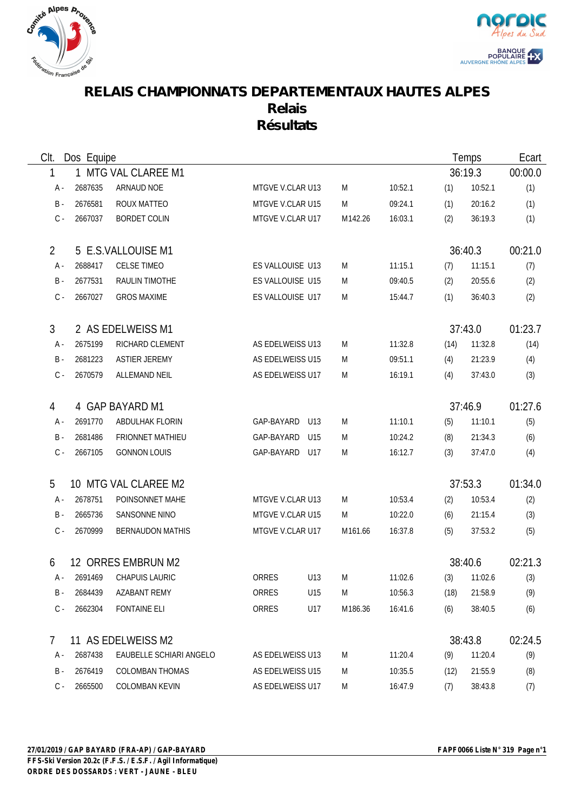



## **RELAIS CHAMPIONNATS DEPARTEMENTAUX HAUTES ALPES Relais Résultats**

| Clt.           | Dos Equipe |                         |                  |     |         | Temps   |         | Ecart   |         |
|----------------|------------|-------------------------|------------------|-----|---------|---------|---------|---------|---------|
| 1              |            | 1 MTG VAL CLAREE M1     |                  |     |         |         | 36:19.3 | 00:00.0 |         |
| А -            | 2687635    | ARNAUD NOE              | MTGVE V.CLAR U13 |     | M       | 10:52.1 | (1)     | 10:52.1 | (1)     |
| $B -$          | 2676581    | ROUX MATTEO             | MTGVE V.CLAR U15 |     | M       | 09:24.1 | (1)     | 20:16.2 | (1)     |
| $C -$          | 2667037    | <b>BORDET COLIN</b>     | MTGVE V.CLAR U17 |     | M142.26 | 16:03.1 | (2)     | 36:19.3 | (1)     |
| $\overline{2}$ |            | 5 E.S.VALLOUISE M1      |                  |     |         |         |         | 36:40.3 | 00:21.0 |
| A -            | 2688417    | <b>CELSE TIMEO</b>      | ES VALLOUISE U13 |     | M       | 11:15.1 | (7)     | 11:15.1 | (7)     |
| B -            | 2677531    | <b>RAULIN TIMOTHE</b>   | ES VALLOUISE U15 |     | M       | 09:40.5 | (2)     | 20:55.6 | (2)     |
| $C -$          | 2667027    | <b>GROS MAXIME</b>      | ES VALLOUISE U17 |     | M       | 15:44.7 | (1)     | 36:40.3 | (2)     |
| $\mathfrak{Z}$ |            | 2 AS EDELWEISS M1       |                  |     |         |         | 37:43.0 |         | 01:23.7 |
| A -            | 2675199    | RICHARD CLEMENT         | AS EDELWEISS U13 |     | M       | 11:32.8 | (14)    | 11:32.8 | (14)    |
| B -            | 2681223    | <b>ASTIER JEREMY</b>    | AS EDELWEISS U15 |     | M       | 09:51.1 | (4)     | 21:23.9 | (4)     |
| $C -$          | 2670579    | <b>ALLEMAND NEIL</b>    | AS EDELWEISS U17 |     | M       | 16:19.1 | (4)     | 37:43.0 | (3)     |
| 4              |            | 4 GAP BAYARD M1         |                  |     |         |         |         | 37:46.9 | 01:27.6 |
| A -            | 2691770    | ABDULHAK FLORIN         | GAP-BAYARD       | U13 | M       | 11:10.1 | (5)     | 11:10.1 | (5)     |
| B -            | 2681486    | <b>FRIONNET MATHIEU</b> | GAP-BAYARD       | U15 | M       | 10:24.2 | (8)     | 21:34.3 | (6)     |
| $C -$          | 2667105    | <b>GONNON LOUIS</b>     | GAP-BAYARD U17   |     | M       | 16:12.7 | (3)     | 37:47.0 | (4)     |
| 5              |            | 10 MTG VAL CLAREE M2    |                  |     |         |         |         | 37:53.3 | 01:34.0 |
| A -            | 2678751    | POINSONNET MAHE         | MTGVE V.CLAR U13 |     | M       | 10:53.4 | (2)     | 10:53.4 | (2)     |
| B -            | 2665736    | SANSONNE NINO           | MTGVE V.CLAR U15 |     | M       | 10:22.0 | (6)     | 21:15.4 | (3)     |
| $C -$          | 2670999    | <b>BERNAUDON MATHIS</b> | MTGVE V.CLAR U17 |     | M161.66 | 16:37.8 | (5)     | 37:53.2 | (5)     |
| 6              |            | 12 ORRES EMBRUN M2      |                  |     |         |         | 38:40.6 |         | 02:21.3 |
| A -            | 2691469    | CHAPUIS LAURIC          | ORRES            | U13 | M       | 11:02.6 | (3)     | 11:02.6 | (3)     |
| B -            | 2684439    | AZABANT REMY            | ORRES            | U15 | M       | 10:56.3 | (18)    | 21:58.9 | (9)     |
| C -            | 2662304    | <b>FONTAINE ELI</b>     | ORRES            | U17 | M186.36 | 16:41.6 | (6)     | 38:40.5 | (6)     |
| 7              |            | 11 AS EDELWEISS M2      |                  |     |         |         | 38:43.8 |         | 02:24.5 |
| A -            | 2687438    | EAUBELLE SCHIARI ANGELO | AS EDELWEISS U13 |     | M       | 11:20.4 | (9)     | 11:20.4 | (9)     |
| B -            | 2676419    | <b>COLOMBAN THOMAS</b>  | AS EDELWEISS U15 |     | M       | 10:35.5 | (12)    | 21:55.9 | (8)     |
| $C -$          | 2665500    | <b>COLOMBAN KEVIN</b>   | AS EDELWEISS U17 |     | M       | 16:47.9 | (7)     | 38:43.8 | (7)     |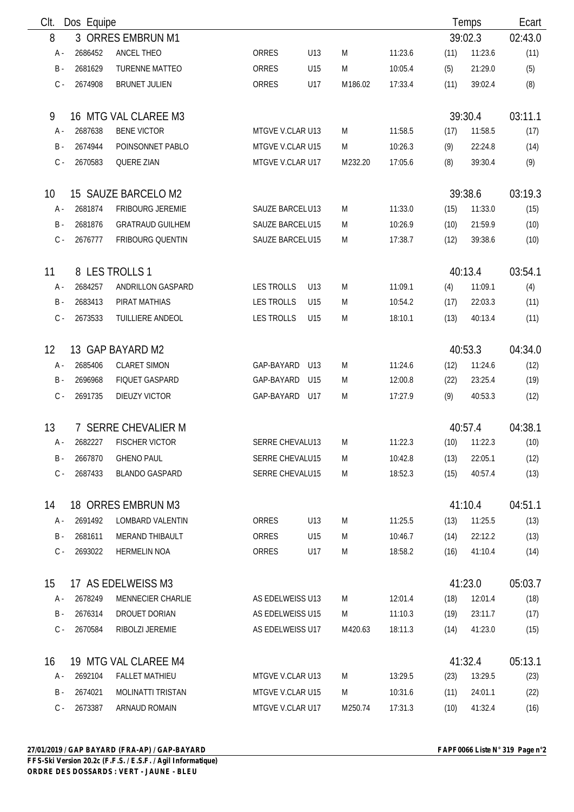| Clt.  | Dos Equipe         |                          |                        |                 |         |         |      | Temps   | Ecart   |
|-------|--------------------|--------------------------|------------------------|-----------------|---------|---------|------|---------|---------|
| 8     |                    | 3 ORRES EMBRUN M1        |                        |                 |         |         |      | 39:02.3 | 02:43.0 |
| A -   | 2686452            | ANCEL THEO               | <b>ORRES</b>           | U13             | M       | 11:23.6 | (11) | 11:23.6 | (11)    |
| $B -$ | 2681629            | <b>TURENNE MATTEO</b>    | ORRES                  | U15             | M       | 10:05.4 | (5)  | 21:29.0 | (5)     |
| $C -$ | 2674908            | <b>BRUNET JULIEN</b>     | ORRES                  | U17             | M186.02 | 17:33.4 | (11) | 39:02.4 | (8)     |
| 9     |                    | 16 MTG VAL CLAREE M3     |                        |                 |         |         |      | 39:30.4 | 03:11.1 |
| A -   | 2687638            | <b>BENE VICTOR</b>       | MTGVE V.CLAR U13       |                 | M       | 11:58.5 | (17) | 11:58.5 | (17)    |
| $B -$ | 2674944            | POINSONNET PABLO         | MTGVE V.CLAR U15       |                 | M       | 10:26.3 | (9)  | 22:24.8 | (14)    |
| $C -$ | 2670583            | <b>QUERE ZIAN</b>        | MTGVE V.CLAR U17       |                 | M232.20 | 17:05.6 | (8)  | 39:30.4 | (9)     |
| 10    |                    | 15 SAUZE BARCELO M2      |                        |                 |         |         |      | 39:38.6 | 03:19.3 |
| A -   | 2681874            | FRIBOURG JEREMIE         | SAUZE BARCELU13        |                 | M       | 11:33.0 | (15) | 11:33.0 | (15)    |
| $B -$ | 2681876            | <b>GRATRAUD GUILHEM</b>  | <b>SAUZE BARCELU15</b> |                 | M       | 10:26.9 | (10) | 21:59.9 | (10)    |
| $C -$ | 2676777            | FRIBOURG QUENTIN         | SAUZE BARCELU15        |                 | M       | 17:38.7 | (12) | 39:38.6 | (10)    |
| 11    |                    | 8 LES TROLLS 1           |                        |                 |         |         |      | 40:13.4 | 03:54.1 |
| A -   | 2684257            | ANDRILLON GASPARD        | <b>LES TROLLS</b>      | U13             | M       | 11:09.1 | (4)  | 11:09.1 | (4)     |
| $B -$ | 2683413            | PIRAT MATHIAS            | <b>LES TROLLS</b>      | U15             | M       | 10:54.2 | (17) | 22:03.3 | (11)    |
| $C -$ | 2673533            | TUILLIERE ANDEOL         | <b>LES TROLLS</b>      | U15             | M       | 18:10.1 | (13) | 40:13.4 | (11)    |
| 12    |                    | 13 GAP BAYARD M2         |                        |                 |         |         |      | 40:53.3 | 04:34.0 |
| A -   | 2685406            | <b>CLARET SIMON</b>      | GAP-BAYARD             | U13             | M       | 11:24.6 | (12) | 11:24.6 | (12)    |
| $B -$ | 2696968            | <b>FIQUET GASPARD</b>    | GAP-BAYARD             | U <sub>15</sub> | M       | 12:00.8 | (22) | 23:25.4 | (19)    |
| $C -$ | 2691735            | DIEUZY VICTOR            | GAP-BAYARD             | U17             | M       | 17:27.9 | (9)  | 40:53.3 | (12)    |
| 13    |                    | 7 SERRE CHEVALIER M      |                        |                 |         |         |      | 40:57.4 | 04:38.1 |
| A -   | 2682227            | <b>FISCHER VICTOR</b>    | SERRE CHEVALU13        |                 | M       | 11:22.3 | (10) | 11:22.3 | (10)    |
| B -   | 2667870            | <b>GHENO PAUL</b>        | SERRE CHEVALU15        |                 | M       | 10:42.8 | (13) | 22:05.1 | (12)    |
| $C -$ | 2687433            | <b>BLANDO GASPARD</b>    | SERRE CHEVALU15        |                 | M       | 18:52.3 | (15) | 40:57.4 | (13)    |
| 14    |                    | 18 ORRES EMBRUN M3       |                        |                 |         |         |      | 41:10.4 | 04:51.1 |
| A -   | 2691492            | LOMBARD VALENTIN         | ORRES                  | U13             | M       | 11:25.5 | (13) | 11:25.5 | (13)    |
| $B -$ | 2681611            | <b>MERAND THIBAULT</b>   | ORRES                  | U15             | M       | 10:46.7 | (14) | 22:12.2 | (13)    |
| $C -$ | 2693022            | <b>HERMELIN NOA</b>      | ORRES                  | U17             | M       | 18:58.2 | (16) | 41:10.4 | (14)    |
| 15    | 17 AS EDELWEISS M3 |                          |                        |                 |         |         |      | 41:23.0 | 05:03.7 |
| A -   | 2678249            | MENNECIER CHARLIE        | AS EDELWEISS U13       |                 | M       | 12:01.4 | (18) | 12:01.4 | (18)    |
| B -   | 2676314            | DROUET DORIAN            | AS EDELWEISS U15       |                 | M       | 11:10.3 | (19) | 23:11.7 | (17)    |
| $C -$ | 2670584            | RIBOLZI JEREMIE          | AS EDELWEISS U17       |                 | M420.63 | 18:11.3 | (14) | 41:23.0 | (15)    |
| 16    |                    | 19 MTG VAL CLAREE M4     |                        |                 |         |         |      | 41:32.4 | 05:13.1 |
| A -   | 2692104            | <b>FALLET MATHIEU</b>    | MTGVE V.CLAR U13       |                 | M       | 13:29.5 | (23) | 13:29.5 | (23)    |
| B -   | 2674021            | <b>MOLINATTI TRISTAN</b> | MTGVE V.CLAR U15       |                 | M       | 10:31.6 | (11) | 24:01.1 | (22)    |
| $C -$ | 2673387            | ARNAUD ROMAIN            | MTGVE V.CLAR U17       |                 | M250.74 | 17:31.3 | (10) | 41:32.4 | (16)    |